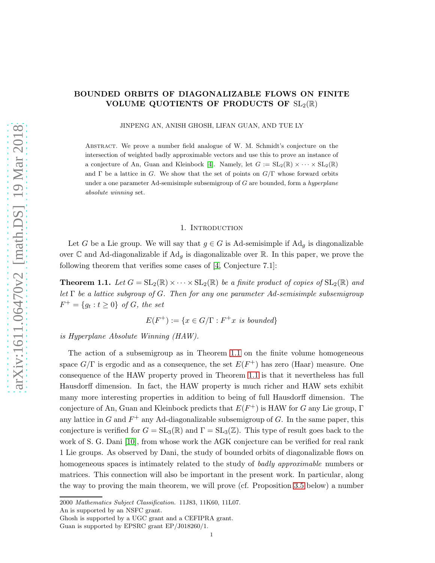# BOUNDED ORBITS OF DIAGONALIZABLE FLOWS ON FINITE VOLUME QUOTIENTS OF PRODUCTS OF  $SL_2(\mathbb{R})$

JINPENG AN, ANISH GHOSH, LIFAN GUAN, AND TUE LY

Abstract. We prove a number field analogue of W. M. Schmidt's conjecture on the intersection of weighted badly approximable vectors and use this to prove an instance of a conjecture of An, Guan and Kleinbock [\[4\]](#page-13-0). Namely, let  $G := SL_2(\mathbb{R}) \times \cdots \times SL_2(\mathbb{R})$ and  $\Gamma$  be a lattice in G. We show that the set of points on  $G/\Gamma$  whose forward orbits under a one parameter Ad-semisimple subsemigroup of  $G$  are bounded, form a hyperplane absolute winning set.

### 1. INTRODUCTION

Let G be a Lie group. We will say that  $g \in G$  is Ad-semisimple if  $\text{Ad}_g$  is diagonalizable over  $\mathbb C$  and Ad-diagonalizable if  $Ad<sub>q</sub>$  is diagonalizable over  $\mathbb R$ . In this paper, we prove the following theorem that verifies some cases of [\[4,](#page-13-0) Conjecture 7.1]:

<span id="page-0-0"></span>**Theorem 1.1.** Let  $G = SL_2(\mathbb{R}) \times \cdots \times SL_2(\mathbb{R})$  be a finite product of copies of  $SL_2(\mathbb{R})$  and let  $\Gamma$  be a lattice subgroup of G. Then for any one parameter Ad-semisimple subsemigroup  $F^{+} = \{g_t : t \ge 0\}$  of G, the set

$$
E(F^+) := \{ x \in G/\Gamma : F^+x \text{ is bounded} \}
$$

is Hyperplane Absolute Winning (HAW).

The action of a subsemigroup as in Theorem [1.1](#page-0-0) on the finite volume homogeneous space  $G/\Gamma$  is ergodic and as a consequence, the set  $E(F^+)$  has zero (Haar) measure. One consequence of the HAW property proved in Theorem [1.1](#page-0-0) is that it nevertheless has full Hausdorff dimension. In fact, the HAW property is much richer and HAW sets exhibit many more interesting properties in addition to being of full Hausdorff dimension. The conjecture of An, Guan and Kleinbock predicts that  $E(F^+)$  is HAW for G any Lie group,  $\Gamma$ any lattice in G and  $F^+$  any Ad-diagonalizable subsemigroup of G. In the same paper, this conjecture is verified for  $G = SL_3(\mathbb{R})$  and  $\Gamma = SL_3(\mathbb{Z})$ . This type of result goes back to the work of S. G. Dani [\[10\]](#page-14-0), from whose work the AGK conjecture can be verified for real rank 1 Lie groups. As observed by Dani, the study of bounded orbits of diagonalizable flows on homogeneous spaces is intimately related to the study of badly approximable numbers or matrices. This connection will also be important in the present work. In particular, along the way to proving the main theorem, we will prove (cf. Proposition [3.5](#page-7-0) below) a number

<sup>2000</sup> Mathematics Subject Classification. 11J83, 11K60, 11L07.

An is supported by an NSFC grant.

Ghosh is supported by a UGC grant and a CEFIPRA grant.

Guan is supported by EPSRC grant EP/J018260/1.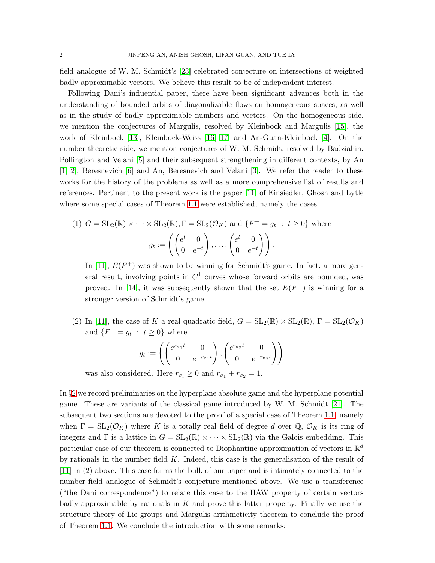field analogue of W. M. Schmidt's [\[23\]](#page-14-1) celebrated conjecture on intersections of weighted badly approximable vectors. We believe this result to be of independent interest.

Following Dani's influential paper, there have been significant advances both in the understanding of bounded orbits of diagonalizable flows on homogeneous spaces, as well as in the study of badly approximable numbers and vectors. On the homogeneous side, we mention the conjectures of Margulis, resolved by Kleinbock and Margulis [\[15\]](#page-14-2), the work of Kleinbock [\[13\]](#page-14-3), Kleinbock-Weiss [\[16,](#page-14-4) [17\]](#page-14-5) and An-Guan-Kleinbock [\[4\]](#page-13-0). On the number theoretic side, we mention conjectures of W. M. Schmidt, resolved by Badziahin, Pollington and Velani [\[5\]](#page-14-6) and their subsequent strengthening in different contexts, by An [\[1,](#page-13-1) [2\]](#page-13-2), Beresnevich [\[6\]](#page-14-7) and An, Beresnevich and Velani [\[3\]](#page-13-3). We refer the reader to these works for the history of the problems as well as a more comprehensive list of results and references. Pertinent to the present work is the paper [\[11\]](#page-14-8) of Einsiedler, Ghosh and Lytle where some special cases of Theorem [1.1](#page-0-0) were established, namely the cases

(1) 
$$
G = SL_2(\mathbb{R}) \times \cdots \times SL_2(\mathbb{R}), \Gamma = SL_2(\mathcal{O}_K)
$$
 and  $\{F^+ = g_t : t \ge 0\}$  where  

$$
g_t := \left( \begin{pmatrix} e^t & 0 \\ 0 & e^{-t} \end{pmatrix}, \dots, \begin{pmatrix} e^t & 0 \\ 0 & e^{-t} \end{pmatrix} \right).
$$

In [\[11\]](#page-14-8),  $E(F^+)$  was shown to be winning for Schmidt's game. In fact, a more general result, involving points in  $C^1$  curves whose forward orbits are bounded, was proved. In [\[14\]](#page-14-9), it was subsequently shown that the set  $E(F^+)$  is winning for a stronger version of Schmidt's game.

(2) In [\[11\]](#page-14-8), the case of K a real quadratic field,  $G = SL_2(\mathbb{R}) \times SL_2(\mathbb{R})$ ,  $\Gamma = SL_2(\mathcal{O}_K)$ and  $\{F^+ = g_t : t \geq 0\}$  where

$$
g_t := \left( \begin{pmatrix} e^{r_{\sigma_1}t} & 0 \\ 0 & e^{-r_{\sigma_1}t} \end{pmatrix}, \begin{pmatrix} e^{r_{\sigma_2}t} & 0 \\ 0 & e^{-r_{\sigma_2}t} \end{pmatrix} \right)
$$

was also considered. Here  $r_{\sigma_i} \geq 0$  and  $r_{\sigma_1} + r_{\sigma_2} = 1$ .

In §[2](#page-2-0) we record preliminaries on the hyperplane absolute game and the hyperplane potential game. These are variants of the classical game introduced by W. M. Schmidt [\[21\]](#page-14-10). The subsequent two sections are devoted to the proof of a special case of Theorem [1.1,](#page-0-0) namely when  $\Gamma = SL_2(\mathcal{O}_K)$  where K is a totally real field of degree d over  $\mathbb{Q}, \mathcal{O}_K$  is its ring of integers and  $\Gamma$  is a lattice in  $G = SL_2(\mathbb{R}) \times \cdots \times SL_2(\mathbb{R})$  via the Galois embedding. This particular case of our theorem is connected to Diophantine approximation of vectors in  $\mathbb{R}^d$ by rationals in the number field  $K$ . Indeed, this case is the generalisation of the result of [\[11\]](#page-14-8) in (2) above. This case forms the bulk of our paper and is intimately connected to the number field analogue of Schmidt's conjecture mentioned above. We use a transference ("the Dani correspondence") to relate this case to the HAW property of certain vectors badly approximable by rationals in  $K$  and prove this latter property. Finally we use the structure theory of Lie groups and Margulis arithmeticity theorem to conclude the proof of Theorem [1.1.](#page-0-0) We conclude the introduction with some remarks: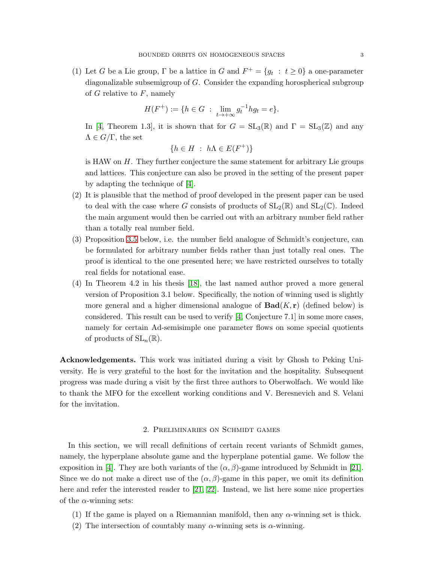(1) Let G be a Lie group,  $\Gamma$  be a lattice in G and  $F^+ = \{g_t : t \geq 0\}$  a one-parameter diagonalizable subsemigroup of G. Consider the expanding horospherical subgroup of  $G$  relative to  $F$ , namely

$$
H(F^+) := \{ h \in G \; : \; \lim_{t \to +\infty} g_t^{-1} h g_t = e \}.
$$

In [\[4,](#page-13-0) Theorem 1.3], it is shown that for  $G = SL_3(\mathbb{R})$  and  $\Gamma = SL_3(\mathbb{Z})$  and any  $\Lambda \in G/\Gamma$ , the set

$$
\{h \in H \; : \; h\Lambda \in E(F^+)\}\
$$

is HAW on  $H$ . They further conjecture the same statement for arbitrary Lie groups and lattices. This conjecture can also be proved in the setting of the present paper by adapting the technique of [\[4\]](#page-13-0).

- (2) It is plausible that the method of proof developed in the present paper can be used to deal with the case where G consists of products of  $SL_2(\mathbb{R})$  and  $SL_2(\mathbb{C})$ . Indeed the main argument would then be carried out with an arbitrary number field rather than a totally real number field.
- (3) Proposition [3.5](#page-7-0) below, i.e. the number field analogue of Schmidt's conjecture, can be formulated for arbitrary number fields rather than just totally real ones. The proof is identical to the one presented here; we have restricted ourselves to totally real fields for notational ease.
- (4) In Theorem 4.2 in his thesis [\[18\]](#page-14-11), the last named author proved a more general version of Proposition 3.1 below. Specifically, the notion of winning used is slightly more general and a higher dimensional analogue of  $\text{Bad}(K, r)$  (defined below) is considered. This result can be used to verify [\[4,](#page-13-0) Conjecture 7.1] in some more cases, namely for certain Ad-semisimple one parameter flows on some special quotients of products of  $SL_n(\mathbb{R})$ .

Acknowledgements. This work was initiated during a visit by Ghosh to Peking University. He is very grateful to the host for the invitation and the hospitality. Subsequent progress was made during a visit by the first three authors to Oberwolfach. We would like to thank the MFO for the excellent working conditions and V. Beresnevich and S. Velani for the invitation.

## 2. Preliminaries on Schmidt games

<span id="page-2-0"></span>In this section, we will recall definitions of certain recent variants of Schmidt games, namely, the hyperplane absolute game and the hyperplane potential game. We follow the exposition in [\[4\]](#page-13-0). They are both variants of the  $(\alpha, \beta)$ -game introduced by Schmidt in [\[21\]](#page-14-10). Since we do not make a direct use of the  $(\alpha, \beta)$ -game in this paper, we omit its definition here and refer the interested reader to [\[21,](#page-14-10) [22\]](#page-14-12). Instead, we list here some nice properties of the  $\alpha$ -winning sets:

- (1) If the game is played on a Riemannian manifold, then any  $\alpha$ -winning set is thick.
- (2) The intersection of countably many  $\alpha$ -winning sets is  $\alpha$ -winning.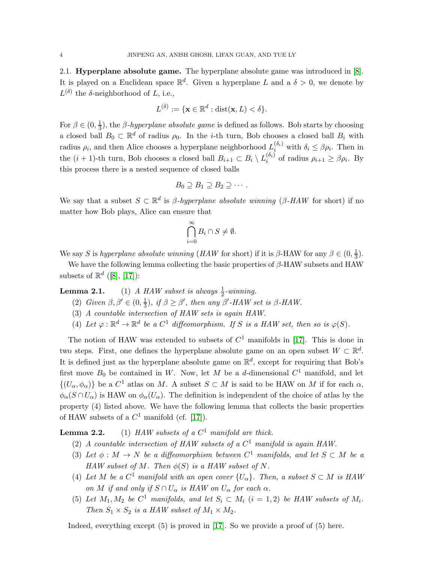2.1. Hyperplane absolute game. The hyperplane absolute game was introduced in [\[8\]](#page-14-13). It is played on a Euclidean space  $\mathbb{R}^d$ . Given a hyperplane L and a  $\delta > 0$ , we denote by  $L^{(\delta)}$  the  $\delta$ -neighborhood of L, i.e.,

$$
L^{(\delta)} := \{ \mathbf{x} \in \mathbb{R}^d : \text{dist}(\mathbf{x}, L) < \delta \}.
$$

For  $\beta \in (0, \frac{1}{3})$  $\frac{1}{3}$ ), the *β*-*hyperplane absolute game* is defined as follows. Bob starts by choosing a closed ball  $B_0 \subset \mathbb{R}^d$  of radius  $\rho_0$ . In the *i*-th turn, Bob chooses a closed ball  $B_i$  with radius  $\rho_i$ , and then Alice chooses a hyperplane neighborhood  $L_i^{(\delta_i)}$  with  $\delta_i \leq \beta \rho_i$ . Then in the  $(i + 1)$ -th turn, Bob chooses a closed ball  $B_{i+1} \subset B_i \setminus L_i^{(\delta_i)}$  $i_i^{(o_i)}$  of radius  $\rho_{i+1} \geq \beta \rho_i$ . By this process there is a nested sequence of closed balls

$$
B_0 \supseteq B_1 \supseteq B_2 \supseteq \cdots.
$$

We say that a subset  $S \subset \mathbb{R}^d$  is  $\beta$ -hyperplane absolute winning ( $\beta$ -HAW for short) if no matter how Bob plays, Alice can ensure that

$$
\bigcap_{i=0}^{\infty} B_i \cap S \neq \emptyset.
$$

We say S is hyperplane absolute winning (HAW for short) if it is β-HAW for any  $\beta \in (0, \frac{1}{3})$  $\frac{1}{3}$ .

We have the following lemma collecting the basic properties of  $\beta$ -HAW subsets and HAW subsets of  $\mathbb{R}^d$  ([\[8\]](#page-14-13), [\[17\]](#page-14-5)):

**Lemma 2.1.** (1) A HAW subset is always  $\frac{1}{2}$ -winning.

- (2) Given  $\beta, \beta' \in (0, \frac{1}{3})$  $\frac{1}{3}$ , if  $\beta \ge \beta'$ , then any  $\beta'$ -HAW set is  $\beta$ -HAW.
- (3) A countable intersection of HAW sets is again HAW.
- (4) Let  $\varphi : \mathbb{R}^d \to \mathbb{R}^d$  be a  $C^1$  diffeomorphism. If S is a HAW set, then so is  $\varphi(S)$ .

The notion of HAW was extended to subsets of  $C<sup>1</sup>$  manifolds in [\[17\]](#page-14-5). This is done in two steps. First, one defines the hyperplane absolute game on an open subset  $W \subset \mathbb{R}^d$ . It is defined just as the hyperplane absolute game on  $\mathbb{R}^d$ , except for requiring that Bob's first move  $B_0$  be contained in W. Now, let M be a d-dimensional  $C^1$  manifold, and let  $\{(U_{\alpha}, \phi_{\alpha})\}\$ be a  $C^1$  atlas on M. A subset  $S \subset M$  is said to be HAW on M if for each  $\alpha$ ,  $\phi_{\alpha}(S \cap U_{\alpha})$  is HAW on  $\phi_{\alpha}(U_{\alpha})$ . The definition is independent of the choice of atlas by the property (4) listed above. We have the following lemma that collects the basic properties of HAW subsets of a  $C^1$  manifold (cf. [\[17\]](#page-14-5)).

**Lemma 2.2.** (1) HAW subsets of a  $C^1$  manifold are thick.

- (2) A countable intersection of HAW subsets of a  $C^1$  manifold is again HAW.
- (3) Let  $\phi : M \to N$  be a diffeomorphism between  $C^1$  manifolds, and let  $S \subset M$  be a HAW subset of M. Then  $\phi(S)$  is a HAW subset of N.
- (4) Let M be a  $C^1$  manifold with an open cover  $\{U_\alpha\}$ . Then, a subset  $S \subset M$  is HAW on M if and only if  $S \cap U_\alpha$  is HAW on  $U_\alpha$  for each  $\alpha$ .
- (5) Let  $M_1, M_2$  be  $C^1$  manifolds, and let  $S_i \subset M_i$   $(i = 1, 2)$  be HAW subsets of  $M_i$ . Then  $S_1 \times S_2$  is a HAW subset of  $M_1 \times M_2$ .

Indeed, everything except (5) is proved in [\[17\]](#page-14-5). So we provide a proof of (5) here.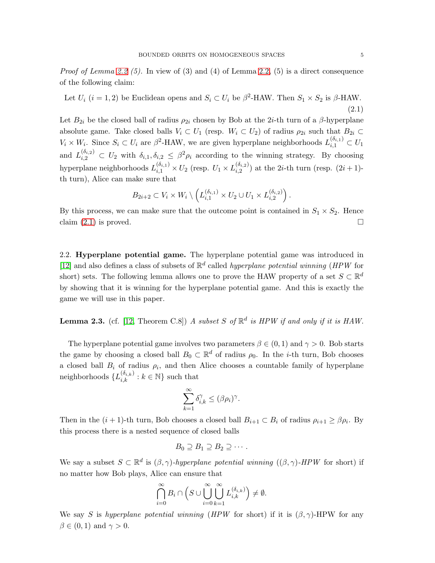*Proof of Lemma 2.2 (5).* In view of (3) and (4) of Lemma 2.2, (5) is a direct consequence of the following claim:

<span id="page-4-0"></span>Let  $U_i$   $(i = 1, 2)$  be Euclidean opens and  $S_i \subset U_i$  be  $\beta^2$ -HAW. Then  $S_1 \times S_2$  is  $\beta$ -HAW. (2.1)

Let  $B_{2i}$  be the closed ball of radius  $\rho_{2i}$  chosen by Bob at the 2*i*-th turn of a  $\beta$ -hyperplane absolute game. Take closed balls  $V_i \subset U_1$  (resp.  $W_i \subset U_2$ ) of radius  $\rho_{2i}$  such that  $B_{2i} \subset$  $V_i \times W_i$ . Since  $S_i \subset U_i$  are  $\beta^2$ -HAW, we are given hyperplane neighborhoods  $L_{i,1}^{(\delta_{i,1})} \subset U_1$ and  $L_{i,2}^{(\delta_{i,2})} \subset U_2$  with  $\delta_{i,1}, \delta_{i,2} \leq \beta^2 \rho_i$  according to the winning strategy. By choosing hyperplane neighborhoods  $L_{i,1}^{(\delta_{i,1})} \times U_2$  (resp.  $U_1 \times L_{i,2}^{(\delta_{i,2})}$  $i_{i,2}^{(0_i,2)}$  at the 2*i*-th turn (resp.  $(2i+1)$ th turn), Alice can make sure that

$$
B_{2i+2} \subset V_i \times W_i \setminus \left( L_{i,1}^{(\delta_{i,1})} \times U_2 \cup U_1 \times L_{i,2}^{(\delta_{i,2})} \right).
$$

By this process, we can make sure that the outcome point is contained in  $S_1 \times S_2$ . Hence claim  $(2.1)$  is proved.

2.2. Hyperplane potential game. The hyperplane potential game was introduced in [\[12\]](#page-14-14) and also defines a class of subsets of  $\mathbb{R}^d$  called *hyperplane potential winning* (*HPW* for short) sets. The following lemma allows one to prove the HAW property of a set  $S \subset \mathbb{R}^d$ by showing that it is winning for the hyperplane potential game. And this is exactly the game we will use in this paper.

**Lemma 2.3.** (cf. [\[12,](#page-14-14) Theorem C.8]) A subset S of  $\mathbb{R}^d$  is HPW if and only if it is HAW.

The hyperplane potential game involves two parameters  $\beta \in (0,1)$  and  $\gamma > 0$ . Bob starts the game by choosing a closed ball  $B_0 \subset \mathbb{R}^d$  of radius  $\rho_0$ . In the *i*-th turn, Bob chooses a closed ball  $B_i$  of radius  $\rho_i$ , and then Alice chooses a countable family of hyperplane neighborhoods  $\{L_{i,k}^{(\delta_{i,k})}:k\in\mathbb{N}\}$  such that

$$
\sum_{k=1}^{\infty} \delta_{i,k}^{\gamma} \le (\beta \rho_i)^{\gamma}.
$$

Then in the  $(i + 1)$ -th turn, Bob chooses a closed ball  $B_{i+1} \subset B_i$  of radius  $\rho_{i+1} \geq \beta \rho_i$ . By this process there is a nested sequence of closed balls

$$
B_0 \supseteq B_1 \supseteq B_2 \supseteq \cdots.
$$

We say a subset  $S \subset \mathbb{R}^d$  is  $(\beta, \gamma)$ -hyperplane potential winning  $((\beta, \gamma)$ -HPW for short) if no matter how Bob plays, Alice can ensure that

$$
\bigcap_{i=0}^{\infty} B_i \cap \left( S \cup \bigcup_{i=0}^{\infty} \bigcup_{k=1}^{\infty} L_{i,k}^{(\delta_{i,k})} \right) \neq \emptyset.
$$

We say S is hyperplane potential winning (HPW for short) if it is  $(\beta, \gamma)$ -HPW for any  $\beta \in (0,1)$  and  $\gamma > 0$ .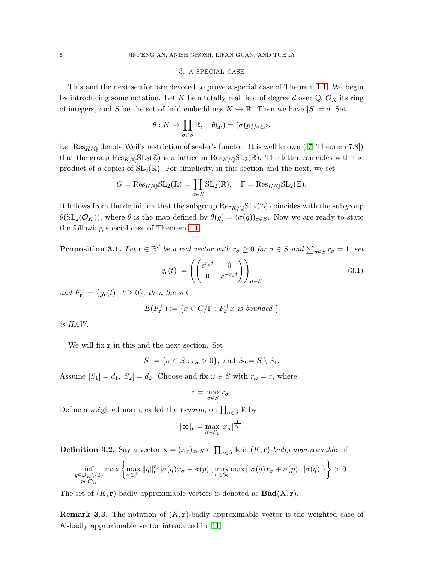## 3. a special case

This and the next section are devoted to prove a special case of Theorem [1.1.](#page-0-0) We begin by introducing some notation. Let K be a totally real field of degree d over  $\mathbb{Q}, \mathcal{O}_K$  its ring of integers, and S be the set of field embeddings  $K \hookrightarrow \mathbb{R}$ . Then we have  $|S| = d$ . Set

$$
\theta: K \to \prod_{\sigma \in S} \mathbb{R}, \quad \theta(p) = (\sigma(p))_{\sigma \in S}.
$$

Let $\text{Res}_{K/\mathbb{Q}}$  denote Weil's restriction of scalar's functor. It is well known ([\[7,](#page-14-15) Theorem 7.8]) that the group  $\text{Res}_{K/\mathbb{Q}}\text{SL}_2(\mathbb{Z})$  is a lattice in  $\text{Res}_{K/\mathbb{Q}}\text{SL}_2(\mathbb{R})$ . The latter coincides with the product of d copies of  $SL_2(\mathbb{R})$ . For simplicity, in this section and the next, we set

$$
G = \text{Res}_{K/\mathbb{Q}} \text{SL}_2(\mathbb{R}) = \prod_{\sigma \in S} \text{SL}_2(\mathbb{R}), \quad \Gamma = \text{Res}_{K/\mathbb{Q}} \text{SL}_2(\mathbb{Z}).
$$

It follows from the definition that the subgroup  $\text{Res}_{K/\mathbb{Q}}SL_2(\mathbb{Z})$  coincides with the subgroup  $\theta(\mathrm{SL}_2(\mathcal{O}_K))$ , where  $\theta$  is the map defined by  $\theta(g) = (\sigma(g))_{\sigma \in S}$ . Now we are ready to state the following special case of Theorem [1.1.](#page-0-0)

<span id="page-5-0"></span>**Proposition 3.1.** Let  $\mathbf{r} \in \mathbb{R}^d$  be a real vector with  $r_\sigma \geq 0$  for  $\sigma \in S$  and  $\sum_{\sigma \in S} r_\sigma = 1$ , set

$$
g_{\mathbf{r}}(t) := \left( \begin{pmatrix} e^{r_{\sigma}t} & 0\\ 0 & e^{-r_{\sigma}t} \end{pmatrix} \right)_{\sigma \in S} \tag{3.1}
$$

and  $F_{\mathbf{r}}^{+} = \{g_{\mathbf{r}}(t) : t \geq 0\}$ , then the set

$$
E(F_{\mathbf{r}}^{+}) := \{ x \in G/\Gamma : F_{\mathbf{r}}^{+} x \text{ is bounded } \}
$$

is HAW.

We will fix **r** in this and the next section. Set

 $S_1 = \{ \sigma \in S : r_{\sigma} > 0 \}, \text{ and } S_2 = S \setminus S_1.$ 

Assume  $|S_1| = d_1, |S_2| = d_2$ . Choose and fix  $\omega \in S$  with  $r_{\omega} = r$ , where

$$
r = \max_{\sigma \in S} r_{\sigma}.
$$

Define a weighted norm, called the r-norm, on  $\prod_{\sigma \in S} \mathbb{R}$  by

$$
\|\mathbf{x}\|_{\mathbf{r}} = \max_{\sigma \in S_1} |x_{\sigma}|^{\frac{1}{r_{\sigma}}}.
$$

**Definition 3.2.** Say a vector  $\mathbf{x} = (x_{\sigma})_{\sigma \in S} \in \prod_{\sigma \in S} \mathbb{R}$  is  $(K, \mathbf{r})$ -badly approximable if

$$
\inf_{\substack{q\in\mathcal{O}_K\setminus\{0\} \\ p\in\mathcal{O}_K}} \max\left\{\max_{\sigma\in S_1} ||q||_{\mathbf{r}}^{r_{\sigma}}|\sigma(q)x_{\sigma}+\sigma(p)|, \max_{\sigma\in S_2} \max\{|\sigma(q)x_{\sigma}+\sigma(p)|, |\sigma(q)|\}\right\} > 0.
$$

The set of  $(K, r)$ -badly approximable vectors is denoted as  $\text{Bad}(K, r)$ .

**Remark 3.3.** The notation of  $(K, r)$ -badly approximable vector is the weighted case of K-badly approximable vector introduced in [\[11\]](#page-14-8).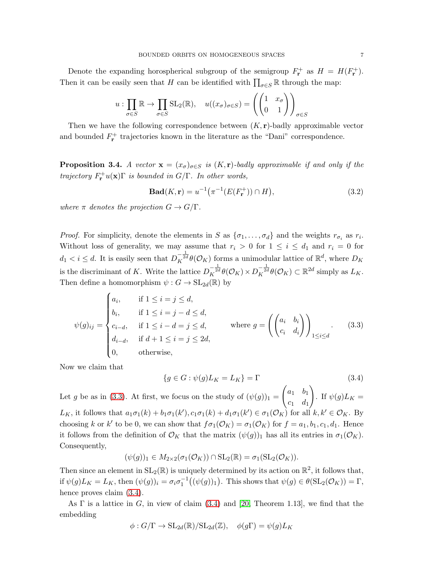Denote the expanding horospherical subgroup of the semigroup  $F_{\mathbf{r}}^{+}$  as  $H = H(F_{\mathbf{r}}^{+})$ . Then it can be easily seen that H can be identified with  $\prod_{\sigma \in S} \mathbb{R}$  through the map:

$$
u: \prod_{\sigma \in S} \mathbb{R} \to \prod_{\sigma \in S} \text{SL}_2(\mathbb{R}), \quad u((x_{\sigma})_{\sigma \in S}) = \left( \begin{pmatrix} 1 & x_{\sigma} \\ 0 & 1 \end{pmatrix} \right)_{\sigma \in S}
$$

Then we have the following correspondence between  $(K, r)$ -badly approximable vector and bounded  $F_{\mathbf{r}}^{+}$  trajectories known in the literature as the "Dani" correspondence.

**Proposition 3.4.** A vector  $\mathbf{x} = (x_{\sigma})_{\sigma \in S}$  is  $(K, \mathbf{r})$ -badly approximable if and only if the trajectory  $F_{\mathbf{r}}^+u(\mathbf{x})\Gamma$  is bounded in  $G/\Gamma$ . In other words,

<span id="page-6-2"></span>
$$
\mathbf{Bad}(K, \mathbf{r}) = u^{-1}(\pi^{-1}(E(F_{\mathbf{r}}^{+})) \cap H), \tag{3.2}
$$

where  $\pi$  denotes the projection  $G \to G/\Gamma$ .

*Proof.* For simplicity, denote the elements in S as  $\{\sigma_1, \ldots, \sigma_d\}$  and the weights  $r_{\sigma_i}$  as  $r_i$ . Without loss of generality, we may assume that  $r_i > 0$  for  $1 \le i \le d_1$  and  $r_i = 0$  for  $d_1 < i \leq d$ . It is easily seen that  $D_K^{-\frac{1}{2d}}\theta(\mathcal{O}_K)$  forms a unimodular lattice of  $\mathbb{R}^d$ , where  $D_K$ is the discriminant of K. Write the lattice  $D_K^{-\frac{1}{2d}} \theta(\mathcal{O}_K) \times D_K^{-\frac{1}{2d}} \theta(\mathcal{O}_K) \subset \mathbb{R}^{2d}$  simply as  $L_K$ . Then define a homomorphism  $\psi : G \to SL_{2d}(\mathbb{R})$  by

<span id="page-6-0"></span>
$$
\psi(g)_{ij} = \begin{cases}\na_i, & \text{if } 1 \le i = j \le d, \\
b_i, & \text{if } 1 \le i = j - d \le d, \\
c_{i-d}, & \text{if } 1 \le i - d = j \le d, \\
d_{i-d}, & \text{if } d + 1 \le i = j \le 2d, \\
0, & \text{otherwise,}\n\end{cases} \qquad \text{where } g = \left( \begin{pmatrix} a_i & b_i \\ c_i & d_i \end{pmatrix} \right)_{1 \le i \le d}. \tag{3.3}
$$

Now we claim that

<span id="page-6-1"></span>
$$
\{g \in G : \psi(g)L_K = L_K\} = \Gamma \tag{3.4}
$$

Let g be as in [\(3.3\)](#page-6-0). At first, we focus on the study of  $(\psi(g))_1 =$  $\begin{pmatrix} a_1 & b_1 \end{pmatrix}$  $c_1$   $d_1$  $\setminus$ . If  $\psi(g)L_K =$ L<sub>K</sub>, it follows that  $a_1\sigma_1(k) + b_1\sigma_1(k')$ ,  $c_1\sigma_1(k) + d_1\sigma_1(k') \in \sigma_1(\mathcal{O}_K)$  for all  $k, k' \in \mathcal{O}_K$ . By choosing k or k' to be 0, we can show that  $f\sigma_1(\mathcal{O}_K) = \sigma_1(\mathcal{O}_K)$  for  $f = a_1, b_1, c_1, d_1$ . Hence it follows from the definition of  $\mathcal{O}_K$  that the matrix  $(\psi(g))_1$  has all its entries in  $\sigma_1(\mathcal{O}_K)$ . Consequently,

$$
(\psi(g))_1 \in M_{2 \times 2}(\sigma_1(\mathcal{O}_K)) \cap \mathrm{SL}_2(\mathbb{R}) = \sigma_1(\mathrm{SL}_2(\mathcal{O}_K)).
$$

Then since an element in  $SL_2(\mathbb{R})$  is uniquely determined by its action on  $\mathbb{R}^2$ , it follows that, if  $\psi(g)L_K = L_K$ , then  $(\psi(g))_i = \sigma_i \sigma_1^{-1}((\psi(g))_1)$ . This shows that  $\psi(g) \in \theta(\mathrm{SL}_2(\mathcal{O}_K)) = \Gamma$ , hence proves claim  $(3.4)$ .

As  $\Gamma$  is a lattice in G, in view of claim [\(3.4\)](#page-6-1) and [\[20,](#page-14-16) Theorem 1.13], we find that the embedding

$$
\phi: G/\Gamma \to \mathrm{SL}_{2d}(\mathbb{R})/\mathrm{SL}_{2d}(\mathbb{Z}), \quad \phi(g\Gamma) = \psi(g)L_K
$$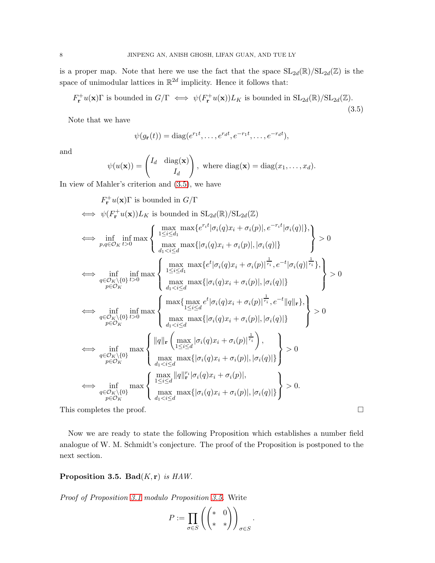is a proper map. Note that here we use the fact that the space  $SL_{2d}(\mathbb{R})/SL_{2d}(\mathbb{Z})$  is the space of unimodular lattices in  $\mathbb{R}^{2d}$  implicity. Hence it follows that:

<span id="page-7-1"></span>
$$
F_{\mathbf{r}}^{+}u(\mathbf{x})\Gamma \text{ is bounded in } G/\Gamma \iff \psi(F_{\mathbf{r}}^{+}u(\mathbf{x}))L_{K} \text{ is bounded in } \mathrm{SL}_{2d}(\mathbb{R})/\mathrm{SL}_{2d}(\mathbb{Z}).
$$
\n(3.5)

Note that we have

 $\mathbf{+}$ 

$$
\psi(g_{\mathbf{r}}(t)) = \text{diag}(e^{r_1 t}, \dots, e^{r_d t}, e^{-r_1 t}, \dots, e^{-r_d t}),
$$

and

$$
\psi(u(\mathbf{x})) = \begin{pmatrix} I_d & \text{diag}(\mathbf{x}) \\ I_d \end{pmatrix}, \text{ where } \text{diag}(\mathbf{x}) = \text{diag}(x_1, \dots, x_d).
$$

In view of Mahler's criterion and [\(3.5\)](#page-7-1), we have

$$
F_r^+(u(\mathbf{x})\Gamma)
$$
 is bounded in  $G/\Gamma$   
\n
$$
\iff \psi(F_r^+(u(\mathbf{x}))L_K
$$
 is bounded in  $\mathrm{SL}_{2d}(\mathbb{R})/\mathrm{SL}_{2d}(\mathbb{Z})$   
\n
$$
\iff \inf_{p,q\in\mathcal{O}_K}\inf_{t>0} \max\left\{\max_{1\leq i\leq d_1} \max\{e^{r_it}|\sigma_i(q)x_i + \sigma_i(p)|, |\sigma_i(q)|\}\right\} > 0
$$
\n
$$
\iff \inf_{p,q\in\mathcal{O}_K\setminus\{0\}} \inf_{t>0} \max\left\{\max_{1\leq i\leq d_1} \max\{e^t|\sigma_i(q)x_i + \sigma_i(p)|, |\sigma_i(q)|\}\right\} > 0
$$
\n
$$
\iff \inf_{p\in\mathcal{O}_K}\inf_{t>0} \max\left\{\max_{d_1< i\leq d_1} \max\{|\sigma_i(q)x_i + \sigma_i(p)|, |\sigma_i(q)|\}\right\} > 0
$$
\n
$$
\iff \inf_{p\in\mathcal{O}_K}\inf_{t>0} \max\left\{\max_{1\leq i\leq d} \max\{|\sigma_i(q)x_i + \sigma_i(p)|, |\sigma_i(q)|\}\right\} > 0
$$
\n
$$
\iff \inf_{p\in\mathcal{O}_K}\max\left\{\min\{|\sigma_i(q)x_i + \sigma_i(p)|, |\sigma_i(q)|\}\right\} > 0
$$
\n
$$
\iff \inf_{p\in\mathcal{O}_K}\max\left\{\min\{|\sigma_i(q)x_i + \sigma_i(p)|, |\sigma_i(q)|\}\right\} > 0
$$
\n
$$
\iff \inf_{p\in\mathcal{O}_K}\max\left\{\min\{|\sigma_i(q)x_i + \sigma_i(p)|, |\sigma_i(q)|\}\right\} > 0
$$
\n
$$
\iff \inf_{p\in\mathcal{O}_K}\max\left\{\max_{d_1< i\leq d} |\sigma_i(q)x_i + \sigma_i(p)|, |\sigma_i(q)|\}\right\} > 0.
$$
\nThis completes the proof.

Now we are ready to state the following Proposition which establishes a number field analogue of W. M. Schmidt's conjecture. The proof of the Proposition is postponed to the next section.

<span id="page-7-0"></span>Proposition 3.5. Bad $(K, r)$  is HAW.

Proof of Proposition [3.1](#page-5-0) modulo Proposition [3.5.](#page-7-0) Write

$$
P := \prod_{\sigma \in S} \left( \begin{pmatrix} * & 0 \\ * & * \end{pmatrix} \right)_{\sigma \in S}.
$$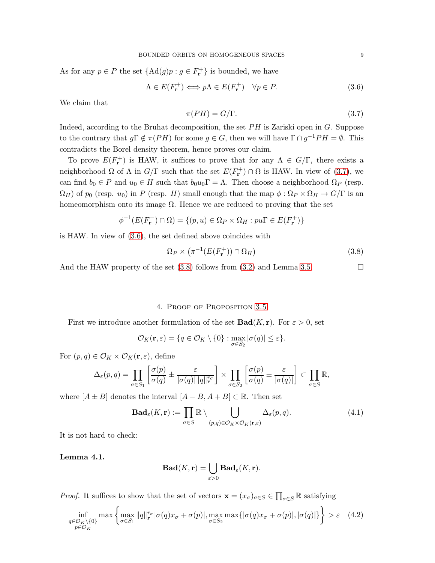As for any  $p \in P$  the set  $\{\text{Ad}(g)p : g \in F_{\mathbf{r}}^+\}$  is bounded, we have

<span id="page-8-1"></span>
$$
\Lambda \in E(F_{\mathbf{r}}^{+}) \Longleftrightarrow p\Lambda \in E(F_{\mathbf{r}}^{+}) \quad \forall p \in P. \tag{3.6}
$$

We claim that

<span id="page-8-0"></span>
$$
\pi(PH) = G/\Gamma. \tag{3.7}
$$

Indeed, according to the Bruhat decomposition, the set  $PH$  is Zariski open in G. Suppose to the contrary that  $g\Gamma \notin \pi(PH)$  for some  $g \in G$ , then we will have  $\Gamma \cap g^{-1}PH = \emptyset$ . This contradicts the Borel density theorem, hence proves our claim.

To prove  $E(F_{\mathbf{r}}^{+})$  is HAW, it suffices to prove that for any  $\Lambda \in G/\Gamma$ , there exists a neighborhood  $\Omega$  of  $\Lambda$  in  $G/\Gamma$  such that the set  $E(F_{\mathbf{r}}^+) \cap \Omega$  is HAW. In view of [\(3.7\)](#page-8-0), we can find  $b_0 \in P$  and  $u_0 \in H$  such that  $b_0u_0\Gamma = \Lambda$ . Then choose a neighborhood  $\Omega_P$  (resp.  $\Omega_H$ ) of  $p_0$  (resp.  $u_0$ ) in P (resp. H) small enough that the map  $\phi : \Omega_P \times \Omega_H \to G/\Gamma$  is an homeomorphism onto its image  $\Omega$ . Hence we are reduced to proving that the set

$$
\phi^{-1}(E(F_{\mathbf{r}}^{+}) \cap \Omega) = \{(p, u) \in \Omega_P \times \Omega_H : pu\Gamma \in E(F_{\mathbf{r}}^{+})\}
$$

is HAW. In view of [\(3.6\)](#page-8-1), the set defined above coincides with

<span id="page-8-2"></span>
$$
\Omega_P \times \left( \pi^{-1}(E(F_\mathbf{r}^+)) \cap \Omega_H \right) \tag{3.8}
$$

And the HAW property of the set  $(3.8)$  follows from  $(3.2)$  and Lemma [3.5.](#page-7-0)

## 4. Proof of Proposition [3.5](#page-7-0)

First we introduce another formulation of the set  $\text{Bad}(K, r)$ . For  $\varepsilon > 0$ , set

$$
\mathcal{O}_K(\mathbf{r}, \varepsilon) = \{q \in \mathcal{O}_K \setminus \{0\} : \max_{\sigma \in S_2} |\sigma(q)| \le \varepsilon\}.
$$

For  $(p, q) \in \mathcal{O}_K \times \mathcal{O}_K(\mathbf{r}, \varepsilon)$ , define

$$
\Delta_{\varepsilon}(p,q) = \prod_{\sigma \in S_1} \left[ \frac{\sigma(p)}{\sigma(q)} \pm \frac{\varepsilon}{|\sigma(q)||q||_{\mathbf{r}}^{r_{\sigma}}} \right] \times \prod_{\sigma \in S_2} \left[ \frac{\sigma(p)}{\sigma(q)} \pm \frac{\varepsilon}{|\sigma(q)|} \right] \subset \prod_{\sigma \in S} \mathbb{R},
$$

where  $[A \pm B]$  denotes the interval  $[A - B, A + B] \subset \mathbb{R}$ . Then set

$$
\mathbf{Bad}_{\varepsilon}(K, \mathbf{r}) := \prod_{\sigma \in S} \mathbb{R} \setminus \bigcup_{(p,q) \in \mathcal{O}_K \times \mathcal{O}_K(\mathbf{r}, \varepsilon)} \Delta_{\varepsilon}(p, q). \tag{4.1}
$$

It is not hard to check:

Lemma 4.1.

$$
\mathbf{Bad}(K, \mathbf{r}) = \bigcup_{\varepsilon > 0} \mathbf{Bad}_{\varepsilon}(K, \mathbf{r}).
$$

*Proof.* It suffices to show that the set of vectors  $\mathbf{x} = (x_{\sigma})_{\sigma \in S} \in \prod_{\sigma \in S} \mathbb{R}$  satisfying

<span id="page-8-3"></span>
$$
\inf_{\substack{q \in \mathcal{O}_K \setminus \{0\} \\ p \in \mathcal{O}_K}} \max \left\{ \max_{\sigma \in S_1} \|q\|_{\mathbf{r}}^{r_{\sigma}} |\sigma(q)x_{\sigma} + \sigma(p)|, \max_{\sigma \in S_2} \max \{|\sigma(q)x_{\sigma} + \sigma(p)|, |\sigma(q)|\} \right\} > \varepsilon \quad (4.2)
$$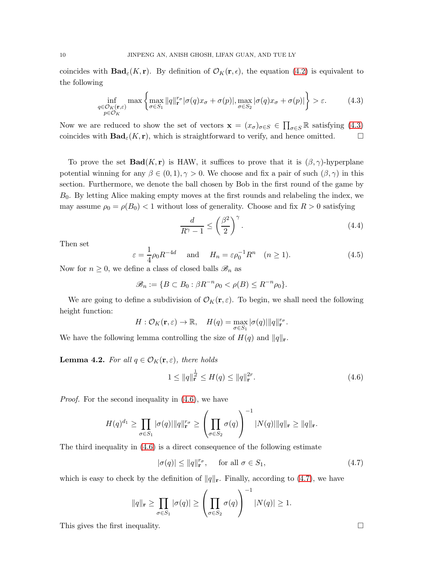coincides with  $\textbf{Bad}_{\varepsilon}(K, r)$ . By definition of  $\mathcal{O}_K(r, \varepsilon)$ , the equation [\(4.2\)](#page-8-3) is equivalent to the following

<span id="page-9-0"></span>
$$
\inf_{\substack{q \in \mathcal{O}_K(\mathbf{r},\varepsilon) \\ p \in \mathcal{O}_K}} \max\left\{ \max_{\sigma \in S_1} \|q\|_{\mathbf{r}}^{r_{\sigma}} |\sigma(q)x_{\sigma} + \sigma(p)|, \max_{\sigma \in S_2} |\sigma(q)x_{\sigma} + \sigma(p)| \right\} > \varepsilon.
$$
 (4.3)

Now we are reduced to show the set of vectors  $\mathbf{x} = (x_{\sigma})_{\sigma \in S} \in \prod_{\sigma \in S} \mathbb{R}$  satisfying [\(4.3\)](#page-9-0) coincides with  $\textbf{Bad}_{\varepsilon}(K, \mathbf{r})$ , which is straightforward to verify, and hence omitted.

To prove the set  $\text{Bad}(K, r)$  is HAW, it suffices to prove that it is  $(\beta, \gamma)$ -hyperplane potential winning for any  $\beta \in (0,1), \gamma > 0$ . We choose and fix a pair of such  $(\beta, \gamma)$  in this section. Furthermore, we denote the ball chosen by Bob in the first round of the game by  $B<sub>0</sub>$ . By letting Alice making empty moves at the first rounds and relabeling the index, we may assume  $\rho_0 = \rho(B_0) < 1$  without loss of generality. Choose and fix  $R > 0$  satisfying

<span id="page-9-4"></span>
$$
\frac{d}{R^{\gamma}-1} \le \left(\frac{\beta^2}{2}\right)^{\gamma}.\tag{4.4}
$$

Then set

<span id="page-9-3"></span>
$$
\varepsilon = \frac{1}{4}\rho_0 R^{-4d} \quad \text{and} \quad H_n = \varepsilon \rho_0^{-1} R^n \quad (n \ge 1). \tag{4.5}
$$

Now for  $n \geq 0$ , we define a class of closed balls  $\mathscr{B}_n$  as

$$
\mathscr{B}_n := \{ B \subset B_0 : \beta R^{-n} \rho_0 < \rho(B) \leq R^{-n} \rho_0 \}.
$$

We are going to define a subdivision of  $\mathcal{O}_K(\mathbf{r}, \varepsilon)$ . To begin, we shall need the following height function:

$$
H: \mathcal{O}_K(\mathbf{r}, \varepsilon) \to \mathbb{R}, \quad H(q) = \max_{\sigma \in S_1} |\sigma(q)| ||q||_{\mathbf{r}}^{r_{\sigma}}.
$$

We have the following lemma controlling the size of  $H(q)$  and  $||q||_{\mathbf{r}}$ .

**Lemma 4.2.** For all  $q \in \mathcal{O}_K(\mathbf{r}, \varepsilon)$ , there holds

<span id="page-9-1"></span>
$$
1 \le ||q||_{\mathbf{r}}^{\frac{1}{d}} \le H(q) \le ||q||_{\mathbf{r}}^{2r}.
$$
\n(4.6)

Proof. For the second inequality in [\(4.6\)](#page-9-1), we have

$$
H(q)^{d_1} \ge \prod_{\sigma \in S_1} |\sigma(q)| ||q||_{\mathbf{r}}^{r_{\sigma}} \ge \left(\prod_{\sigma \in S_2} \sigma(q)\right)^{-1} |N(q)| ||q||_{\mathbf{r}} \ge ||q||_{\mathbf{r}}.
$$

The third inequality in  $(4.6)$  is a direct consequence of the following estimate

<span id="page-9-2"></span>
$$
|\sigma(q)| \le ||q||_{\mathbf{r}}^{r_{\sigma}}, \quad \text{ for all } \sigma \in S_1,
$$
\n
$$
(4.7)
$$

which is easy to check by the definition of  $||q||_r$ . Finally, according to [\(4.7\)](#page-9-2), we have

$$
||q||_{\mathbf{r}} \ge \prod_{\sigma \in S_1} |\sigma(q)| \ge \left(\prod_{\sigma \in S_2} \sigma(q)\right)^{-1} |N(q)| \ge 1.
$$

This gives the first inequality.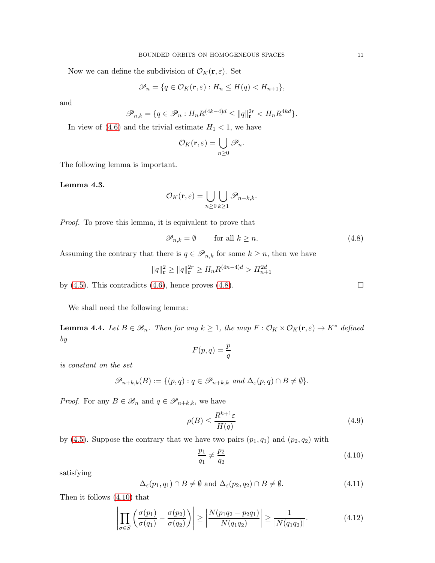Now we can define the subdivision of  $\mathcal{O}_K(\mathbf{r}, \varepsilon)$ . Set

$$
\mathscr{P}_n = \{ q \in \mathcal{O}_K(\mathbf{r}, \varepsilon) : H_n \le H(q) < H_{n+1} \},
$$

and

$$
\mathscr{P}_{n,k} = \{ q \in \mathscr{P}_n : H_n R^{(4k-4)d} \le ||q||_{\mathbf{r}}^{2r} < H_n R^{4kd} \}.
$$

In view of  $(4.6)$  and the trivial estimate  $H_1 < 1$ , we have

$$
\mathcal{O}_K(\mathbf{r}, \varepsilon) = \bigcup_{n \geq 0} \mathscr{P}_n.
$$

The following lemma is important.

Lemma 4.3.

$$
\mathcal{O}_K(\mathbf{r}, \varepsilon) = \bigcup_{n \geq 0} \bigcup_{k \geq 1} \mathscr{P}_{n+k,k}.
$$

Proof. To prove this lemma, it is equivalent to prove that

<span id="page-10-0"></span>
$$
\mathscr{P}_{n,k} = \emptyset \qquad \text{for all } k \ge n. \tag{4.8}
$$

Assuming the contrary that there is  $q \in \mathscr{P}_{n,k}$  for some  $k \geq n$ , then we have

$$
||q||_{\mathbf{r}}^2 \ge ||q||_{\mathbf{r}}^{2r} \ge H_n R^{(4n-4)d} > H_{n+1}^{2d}
$$

by  $(4.5)$ . This contradicts  $(4.6)$ , hence proves  $(4.8)$ .

We shall need the following lemma:

<span id="page-10-5"></span>**Lemma 4.4.** Let  $B \in \mathcal{B}_n$ . Then for any  $k \geq 1$ , the map  $F : \mathcal{O}_K \times \mathcal{O}_K(\mathbf{r}, \varepsilon) \to K^*$  defined by

$$
F(p,q)=\frac{p}{q}
$$

is constant on the set

$$
\mathscr{P}_{n+k,k}(B) := \{ (p,q) : q \in \mathscr{P}_{n+k,k} \text{ and } \Delta_{\varepsilon}(p,q) \cap B \neq \emptyset \}.
$$

*Proof.* For any  $B \in \mathcal{B}_n$  and  $q \in \mathcal{P}_{n+k,k}$ , we have

<span id="page-10-4"></span>
$$
\rho(B) \le \frac{R^{k+1}\varepsilon}{H(q)}\tag{4.9}
$$

by [\(4.5\)](#page-9-3). Suppose the contrary that we have two pairs  $(p_1, q_1)$  and  $(p_2, q_2)$  with

<span id="page-10-1"></span>
$$
\frac{p_1}{q_1} \neq \frac{p_2}{q_2} \tag{4.10}
$$

satisfying

<span id="page-10-3"></span>
$$
\Delta_{\varepsilon}(p_1, q_1) \cap B \neq \emptyset \text{ and } \Delta_{\varepsilon}(p_2, q_2) \cap B \neq \emptyset. \tag{4.11}
$$

Then it follows [\(4.10\)](#page-10-1) that

<span id="page-10-2"></span>
$$
\left| \prod_{\sigma \in S} \left( \frac{\sigma(p_1)}{\sigma(q_1)} - \frac{\sigma(p_2)}{\sigma(q_2)} \right) \right| \ge \left| \frac{N(p_1 q_2 - p_2 q_1)}{N(q_1 q_2)} \right| \ge \frac{1}{|N(q_1 q_2)|}.
$$
\n(4.12)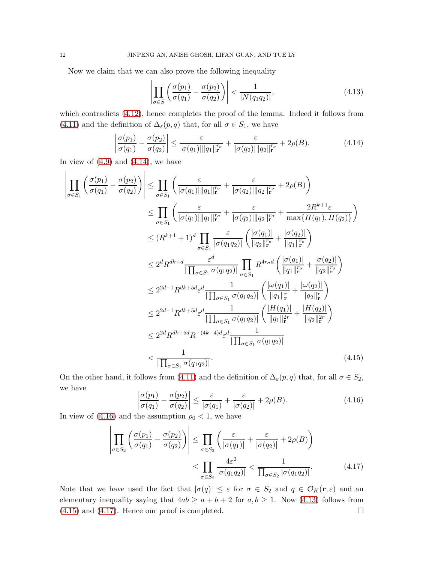Now we claim that we can also prove the following inequality

<span id="page-11-2"></span>
$$
\left| \prod_{\sigma \in S} \left( \frac{\sigma(p_1)}{\sigma(q_1)} - \frac{\sigma(p_2)}{\sigma(q_2)} \right) \right| < \frac{1}{|N(q_1 q_2)|},\tag{4.13}
$$

which contradicts [\(4.12\)](#page-10-2), hence completes the proof of the lemma. Indeed it follows from [\(4.11\)](#page-10-3) and the definition of  $\Delta_{\varepsilon}(p,q)$  that, for all  $\sigma \in S_1$ , we have

<span id="page-11-0"></span>
$$
\left|\frac{\sigma(p_1)}{\sigma(q_1)} - \frac{\sigma(p_2)}{\sigma(q_2)}\right| \le \frac{\varepsilon}{|\sigma(q_1)||q_1||_{\mathbf{r}}^{r_{\sigma}}} + \frac{\varepsilon}{|\sigma(q_2)||q_2||_{\mathbf{r}}^{r_{\sigma}}} + 2\rho(B). \tag{4.14}
$$

In view of  $(4.9)$  and  $(4.14)$ , we have

$$
\left| \prod_{\sigma \in S_1} \left( \frac{\sigma(p_1)}{\sigma(q_1)} - \frac{\sigma(p_2)}{\sigma(q_2)} \right) \right| \leq \prod_{\sigma \in S_1} \left( \frac{\varepsilon}{|\sigma(q_1)||q_1||_r^{r_{\sigma}}} + \frac{\varepsilon}{|\sigma(q_2)||q_2||_r^{r_{\sigma}}} + 2\rho(B) \right)
$$
\n
$$
\leq \prod_{\sigma \in S_1} \left( \frac{\varepsilon}{|\sigma(q_1)||q_1||_r^{r_{\sigma}}} + \frac{\varepsilon}{|\sigma(q_2)||q_2||_r^{r_{\sigma}}} + \frac{2R^{k+1}\varepsilon}{\max\{H(q_1), H(q_2)\}} \right)
$$
\n
$$
\leq (R^{k+1} + 1)^d \prod_{\sigma \in S_1} \frac{\varepsilon}{|\sigma(q_1q_2)|} \left( \frac{|\sigma(q_1)|}{||q_2||_r^{r_{\sigma}}} + \frac{|\sigma(q_2)|}{||q_1||_r^{r_{\sigma}}} \right)
$$
\n
$$
\leq 2^d R^{dk+d} \frac{\varepsilon^d}{|\prod_{\sigma \in S_1} \sigma(q_1q_2)|} \prod_{\sigma \in S_1} R^{4r_{\sigma}d} \left( \frac{|\sigma(q_1)|}{||q_1||_r^{r_{\sigma}}} + \frac{|\sigma(q_2)|}{||q_2||_r^{r_{\sigma}}} \right)
$$
\n
$$
\leq 2^{2d-1} R^{dk+5d} \varepsilon^d \frac{1}{|\prod_{\sigma \in S_1} \sigma(q_1q_2)|} \left( \frac{|\omega(q_1)|}{||q_1||_r^{r_{\sigma}}} + \frac{|\omega(q_2)|}{||q_2||_r^{r_{\sigma}}} \right)
$$
\n
$$
\leq 2^{2d-1} R^{dk+5d} \varepsilon^d \frac{1}{|\prod_{\sigma \in S_1} \sigma(q_1q_2)|} \left( \frac{|H(q_1)|}{||q_1||_r^{r_{\sigma}}} + \frac{|H(q_2)|}{||q_2||_r^{r_{\sigma}}} \right)
$$
\n
$$
< 2^{2d} R^{dk+5d} R^{-(4k-4)d} \varepsilon^d \frac{1}{|\prod_{\sigma \in S_1} \sigma(q_1q_2)|}
$$
\n
$$
< \
$$

On the other hand, it follows from [\(4.11\)](#page-10-3) and the definition of  $\Delta_{\varepsilon}(p,q)$  that, for all  $\sigma \in S_2$ , we have

<span id="page-11-4"></span><span id="page-11-3"></span><span id="page-11-1"></span>
$$
\left|\frac{\sigma(p_1)}{\sigma(q_1)} - \frac{\sigma(p_2)}{\sigma(q_2)}\right| \le \frac{\varepsilon}{|\sigma(q_1)} + \frac{\varepsilon}{|\sigma(q_2)|} + 2\rho(B). \tag{4.16}
$$

In view of  $(4.16)$  and the assumption  $\rho_0 < 1$ , we have

$$
\left| \prod_{\sigma \in S_2} \left( \frac{\sigma(p_1)}{\sigma(q_1)} - \frac{\sigma(p_2)}{\sigma(q_2)} \right) \right| \leq \prod_{\sigma \in S_2} \left( \frac{\varepsilon}{|\sigma(q_1)|} + \frac{\varepsilon}{|\sigma(q_2)|} + 2\rho(B) \right) \leq \prod_{\sigma \in S_2} \frac{4\varepsilon^2}{|\sigma(q_1 q_2)|} < \frac{1}{\prod_{\sigma \in S_2} |\sigma(q_1 q_2)|}.
$$
\n(4.17)

Note that we have used the fact that  $|\sigma(q)| \leq \varepsilon$  for  $\sigma \in S_2$  and  $q \in \mathcal{O}_K(\mathbf{r}, \varepsilon)$  and an elementary inequality saying that  $4ab \ge a+b+2$  for  $a, b \ge 1$ . Now [\(4.13\)](#page-11-2) follows from  $(4.15)$  and  $(4.17)$ . Hence our proof is completed.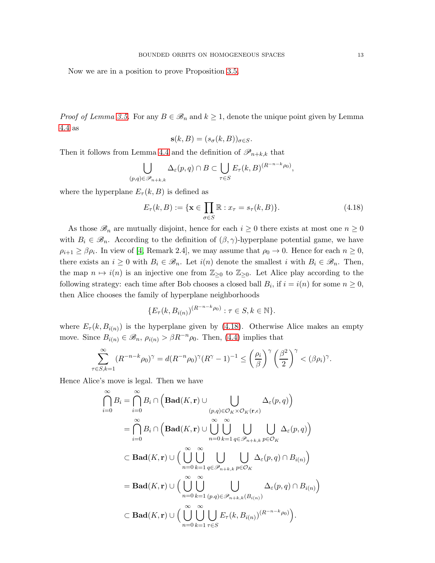Now we are in a position to prove Proposition [3.5.](#page-7-0)

*Proof of Lemma [3.5.](#page-7-0)* For any  $B \in \mathcal{B}_n$  and  $k \geq 1$ , denote the unique point given by Lemma [4.4](#page-10-5) as

$$
\mathbf{s}(k,B) = (s_{\sigma}(k,B))_{\sigma \in S}.
$$

Then it follows from Lemma [4.4](#page-10-5) and the definition of  $\mathscr{P}_{n+k,k}$  that

$$
\bigcup_{(p,q)\in\mathscr{P}_{n+k,k}} \Delta_{\varepsilon}(p,q)\cap B \subset \bigcup_{\tau\in S} E_{\tau}(k,B)^{(R^{-n-k}\rho_0)},
$$

where the hyperplane  $E_{\tau}(k, B)$  is defined as

<span id="page-12-0"></span>
$$
E_{\tau}(k, B) := \{ \mathbf{x} \in \prod_{\sigma \in S} \mathbb{R} : x_{\tau} = s_{\tau}(k, B) \}. \tag{4.18}
$$

As those  $\mathscr{B}_n$  are mutually disjoint, hence for each  $i \geq 0$  there exists at most one  $n \geq 0$ with  $B_i \in \mathscr{B}_n$ . According to the definition of  $(\beta, \gamma)$ -hyperplane potential game, we have  $\rho_{i+1} \geq \beta \rho_i$ . In view of [\[4,](#page-13-0) Remark 2.4], we may assume that  $\rho_0 \to 0$ . Hence for each  $n \geq 0$ , there exists an  $i \geq 0$  with  $B_i \in \mathcal{B}_n$ . Let  $i(n)$  denote the smallest i with  $B_i \in \mathcal{B}_n$ . Then, the map  $n \mapsto i(n)$  is an injective one from  $\mathbb{Z}_{\geq 0}$  to  $\mathbb{Z}_{\geq 0}$ . Let Alice play according to the following strategy: each time after Bob chooses a closed ball  $B_i$ , if  $i = i(n)$  for some  $n \geq 0$ , then Alice chooses the family of hyperplane neighborhoods

$$
\{E_{\tau}(k, B_{i(n)})^{(R^{-n-k}\rho_0)} : \tau \in S, k \in \mathbb{N}\}.
$$

where  $E_{\tau}(k, B_{i(n)})$  is the hyperplane given by [\(4.18\)](#page-12-0). Otherwise Alice makes an empty move. Since  $B_{i(n)} \in \mathscr{B}_n$ ,  $\rho_{i(n)} > \beta R^{-n} \rho_0$ . Then, [\(4.4\)](#page-9-4) implies that

$$
\sum_{\tau \in S, k=1}^{\infty} (R^{-n-k} \rho_0)^{\gamma} = d(R^{-n} \rho_0)^{\gamma} (R^{\gamma} - 1)^{-1} \le \left(\frac{\rho_i}{\beta}\right)^{\gamma} \left(\frac{\beta^2}{2}\right)^{\gamma} < (\beta \rho_i)^{\gamma}.
$$

Hence Alice's move is legal. Then we have

$$
\bigcap_{i=0}^{\infty} B_i = \bigcap_{i=0}^{\infty} B_i \cap \left(\text{Bad}(K, \mathbf{r}) \cup \bigcup_{(p,q) \in \mathcal{O}_K \times \mathcal{O}_K(\mathbf{r}, \epsilon)} \Delta_{\varepsilon}(p, q)\right)
$$
\n
$$
= \bigcap_{i=0}^{\infty} B_i \cap \left(\text{Bad}(K, \mathbf{r}) \cup \bigcup_{n=0}^{\infty} \bigcup_{k=1}^{\infty} \bigcup_{q \in \mathscr{P}_{n+k,k}} \bigcup_{p \in \mathcal{O}_K} \Delta_{\varepsilon}(p, q)\right)
$$
\n
$$
\subset \text{Bad}(K, \mathbf{r}) \cup \left(\bigcup_{n=0}^{\infty} \bigcup_{k=1}^{\infty} \bigcup_{q \in \mathscr{P}_{n+k,k}} \bigcup_{p \in \mathcal{O}_K} \Delta_{\varepsilon}(p, q) \cap B_{i(n)}\right)
$$
\n
$$
= \text{Bad}(K, \mathbf{r}) \cup \left(\bigcup_{n=0}^{\infty} \bigcup_{k=1}^{\infty} \bigcup_{(p,q) \in \mathscr{P}_{n+k,k}(B_{i(n)})} \Delta_{\varepsilon}(p, q) \cap B_{i(n)}\right)
$$
\n
$$
\subset \text{Bad}(K, \mathbf{r}) \cup \left(\bigcup_{n=0}^{\infty} \bigcup_{k=1}^{\infty} \bigcup_{\tau \in S} E_{\tau}(k, B_{i(n)})^{(R^{-n-k}\rho_0)}\right).
$$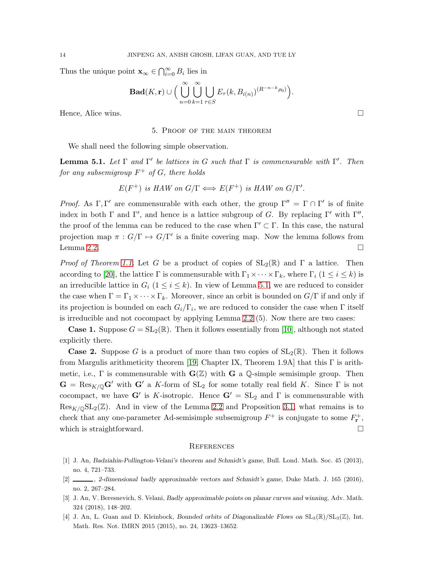Thus the unique point  $\mathbf{x}_{\infty} \in \bigcap_{i=0}^{\infty} B_i$  lies in

$$
\mathbf{Bad}(K, \mathbf{r}) \cup \Big(\bigcup_{n=0}^{\infty} \bigcup_{k=1}^{\infty} \bigcup_{\tau \in S} E_{\tau}(k, B_{i(n)})^{(R^{-n-k}\rho_0)}\Big).
$$

Hence, Alice wins.

#### 5. Proof of the main theorem

We shall need the following simple observation.

<span id="page-13-4"></span>**Lemma 5.1.** Let  $\Gamma$  and  $\Gamma'$  be lattices in G such that  $\Gamma$  is commensurable with  $\Gamma'$ . Then for any subsemigroup  $F^+$  of  $G$ , there holds

$$
E(F^+)
$$
 is HAW on  $G/\Gamma \Longleftrightarrow E(F^+)$  is HAW on  $G/\Gamma'$ .

*Proof.* As  $\Gamma, \Gamma'$  are commensurable with each other, the group  $\Gamma'' = \Gamma \cap \Gamma'$  is of finite index in both  $\Gamma$  and  $\Gamma'$ , and hence is a lattice subgroup of G. By replacing  $\Gamma'$  with  $\Gamma''$ , the proof of the lemma can be reduced to the case when  $\Gamma' \subset \Gamma$ . In this case, the natural projection map  $\pi: G/\Gamma \mapsto G/\Gamma'$  is a finite covering map. Now the lemma follows from Lemma 2.2.

*Proof of Theorem [1.1.](#page-0-0)* Let G be a product of copies of  $SL_2(\mathbb{R})$  and  $\Gamma$  a lattice. Then according to [\[20\]](#page-14-16), the lattice  $\Gamma$  is commensurable with  $\Gamma_1 \times \cdots \times \Gamma_k$ , where  $\Gamma_i$  ( $1 \le i \le k$ ) is an irreducible lattice in  $G_i$   $(1 \leq i \leq k)$ . In view of Lemma [5.1,](#page-13-4) we are reduced to consider the case when  $\Gamma = \Gamma_1 \times \cdots \times \Gamma_k$ . Moreover, since an orbit is bounded on  $G/\Gamma$  if and only if its projection is bounded on each  $G_i/\Gamma_i$ , we are reduced to consider the case when  $\Gamma$  itself is irreducible and not cocompact by applying Lemma 2.2 (5). Now there are two cases:

**Case 1.** Suppose  $G = SL_2(\mathbb{R})$ . Then it follows essentially from [\[10\]](#page-14-0), although not stated explicitly there.

**Case 2.** Suppose G is a product of more than two copies of  $SL_2(\mathbb{R})$ . Then it follows from Margulis arithmeticity theorem [\[19,](#page-14-17) Chapter IX, Theorem 1.9A] that this  $\Gamma$  is arithmetic, i.e.,  $\Gamma$  is commensurable with  $\mathbf{G}(\mathbb{Z})$  with  $\mathbf{G}$  a Q-simple semisimple group. Then  $G = \text{Res}_{K/\mathbb{Q}} G'$  with  $G'$  a K-form of  $SL_2$  for some totally real field K. Since  $\Gamma$  is not cocompact, we have  $G'$  is K-isotropic. Hence  $G' = SL_2$  and  $\Gamma$  is commensurable with  $\text{Res}_{K/\mathbb{Q}}SL_2(\mathbb{Z})$ . And in view of the Lemma 2.2 and Proposition [3.1,](#page-5-0) what remains is to check that any one-parameter Ad-semisimple subsemigroup  $F^+$  is conjugate to some  $F^+_{\mathbf{r}}$ , which is straightforward.  $\square$ 

### **REFERENCES**

- <span id="page-13-2"></span><span id="page-13-1"></span>[1] J. An, Badziahin-Pollington-Velani's theorem and Schmidt's game, Bull. Lond. Math. Soc. 45 (2013), no. 4, 721–733.
- <span id="page-13-3"></span>[2] , 2-dimensional badly approximable vectors and Schmidt's game, Duke Math. J. 165 (2016), no. 2, 267–284.
- <span id="page-13-0"></span>[3] J. An, V. Beresnevich, S. Velani, Badly approximable points on planar curves and winning, Adv. Math. 324 (2018), 148–202.
- [4] J. An, L. Guan and D. Kleinbock, Bounded orbits of Diagonalizable Flows on  $SL_3(\mathbb{R})/SL_3(\mathbb{Z})$ , Int. Math. Res. Not. IMRN 2015 (2015), no. 24, 13623–13652.